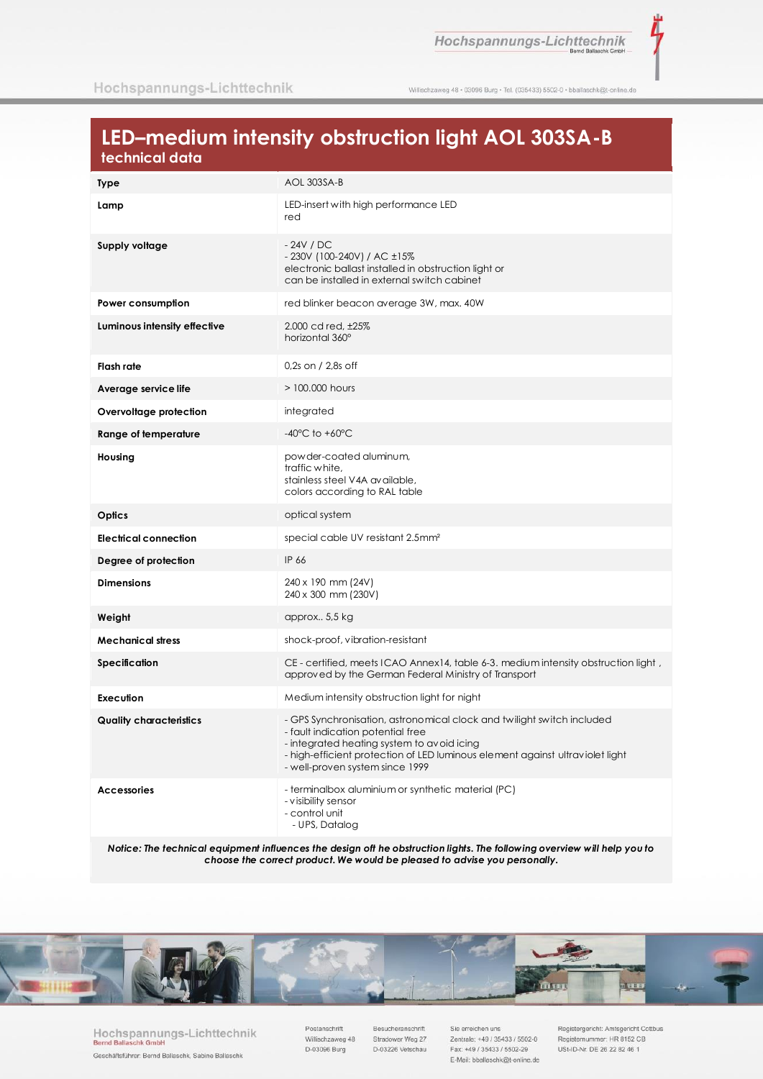ž

Willischzaweg 48 · 03096 Burg · Tel. (035433) 5502-0 · bballaschk@t-online.de

# LED-medium intensity obstruction light AOL 303SA-B technical data

| Type                           | AOL 303SA-B                                                                                                                                                                                                                                                                   |  |  |
|--------------------------------|-------------------------------------------------------------------------------------------------------------------------------------------------------------------------------------------------------------------------------------------------------------------------------|--|--|
| Lamp                           | LED-insert with high performance LED<br>red                                                                                                                                                                                                                                   |  |  |
| Supply voltage                 | $-24V$ / DC<br>- 230V (100-240V) / AC ±15%<br>electronic ballast installed in obstruction light or<br>can be installed in external switch cabinet                                                                                                                             |  |  |
| Power consumption              | red blinker beacon average 3W, max. 40W                                                                                                                                                                                                                                       |  |  |
| Luminous intensity effective   | 2.000 cd red, ±25%<br>horizontal 360°                                                                                                                                                                                                                                         |  |  |
| <b>Flash rate</b>              | $0.2s$ on / 2.8s off                                                                                                                                                                                                                                                          |  |  |
| Average service life           | $>$ 100,000 hours                                                                                                                                                                                                                                                             |  |  |
| Overvoltage protection         | integrated                                                                                                                                                                                                                                                                    |  |  |
| Range of temperature           | $-40^{\circ}$ C to $+60^{\circ}$ C                                                                                                                                                                                                                                            |  |  |
| Housing                        | powder-coated aluminum,<br>traffic white,<br>stainless steel V4A available,<br>colors according to RAL table                                                                                                                                                                  |  |  |
| Optics                         | optical system                                                                                                                                                                                                                                                                |  |  |
| <b>Electrical connection</b>   | special cable UV resistant 2.5mm <sup>2</sup>                                                                                                                                                                                                                                 |  |  |
| Degree of protection           | IP 66                                                                                                                                                                                                                                                                         |  |  |
| <b>Dimensions</b>              | 240 x 190 mm (24V)<br>240 x 300 mm (230V)                                                                                                                                                                                                                                     |  |  |
| Weight                         | approx 5,5 kg                                                                                                                                                                                                                                                                 |  |  |
| <b>Mechanical stress</b>       | shock-proof, vibration-resistant                                                                                                                                                                                                                                              |  |  |
| Specification                  | CE - certified, meets ICAO Annex14, table 6-3. medium intensity obstruction light,<br>approved by the German Federal Ministry of Transport                                                                                                                                    |  |  |
| Execution                      | Medium intensity obstruction light for night                                                                                                                                                                                                                                  |  |  |
| <b>Quality characteristics</b> | - GPS Synchronisation, astronomical clock and twilight switch included<br>- fault indication potential free<br>- integrated heating system to avoid icing<br>- high-efficient protection of LED luminous element against ultraviolet light<br>- well-proven system since 1999 |  |  |
| <b>Accessories</b>             | - terminalbox aluminium or synthetic material (PC)<br>- visibility sensor<br>- control unit<br>- UPS, Datalog                                                                                                                                                                 |  |  |

Notice: The technical equipment influences the design oft he obstruction lights. The following overview will help you to choose the correct product. We would be pleased to advise you personally.



Hochspannungs-Lichttechnik Bernd Ballaschk Gmbl Geschäftsführer: Bernd Ballaschk, Sabine Ballaschk

Postanschrift Willischzaweg 48 D-03096 Burg

Besucheranschrift Stradower Weg 27 D-03226 Vetschau

Sie erreichen uns Zentrale: +49 / 35433 / 5502-0 Fax: +49 / 35433 / 5502-29 E-Mail: bballaschk@t-online.de

Registergericht: Amtsgericht Cottbus Registernummer: HR 8152 CB USt-ID-Nr. DE 26 22 82 46 1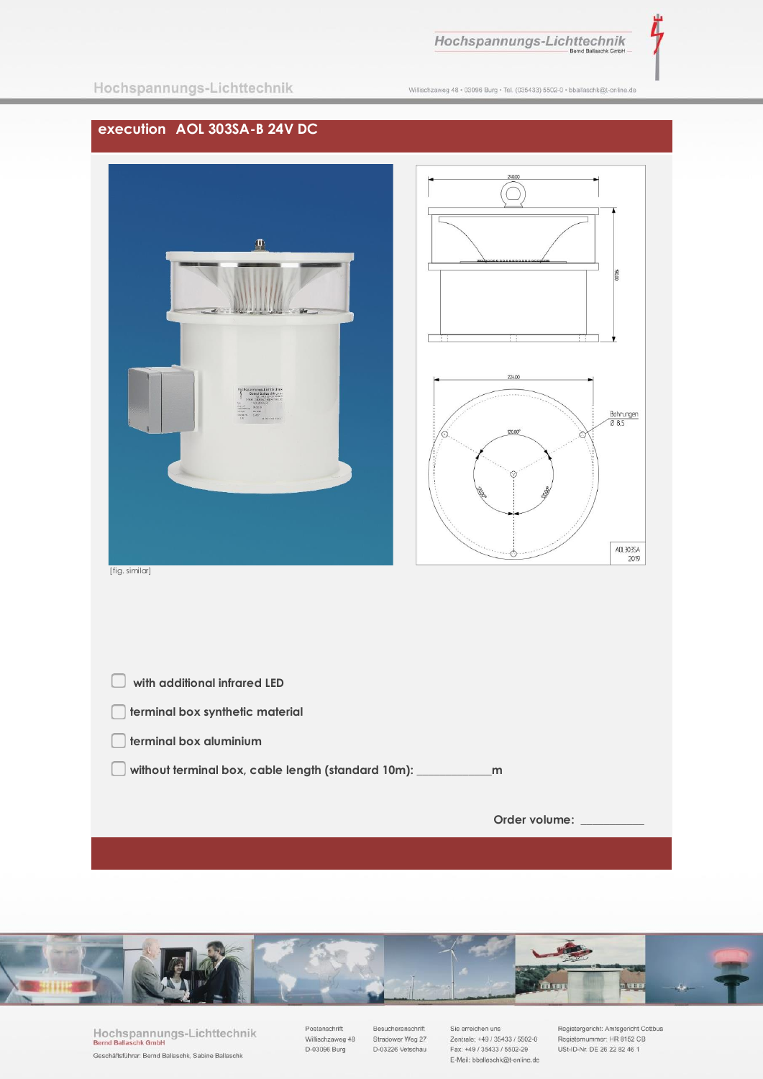Hochspannungs-Lichttechnik

Λ

Willischzaweg 48 · 03096 Burg · Tel. (035433) 5502-0 · bballaschk@t-online.de

## **execution AOL 303SA-B 24V DC**





[fig. similar]

| with additional infrared LED                       |               |
|----------------------------------------------------|---------------|
| terminal box synthetic material                    |               |
| terminal box aluminium                             |               |
| without terminal box, cable length (standard 10m): | m             |
|                                                    |               |
|                                                    | Order volume: |
|                                                    |               |



Hochspannungs-Lichttechnik<br>Bernd Ballaschk GmbH Geschäftsführer: Bernd Ballaschk, Sabine Ballaschk

Postanschrift Villischzaweg 48<br>D-03096 Burg Besucheranschrift Stradower Weg 27<br>D-03226 Vetschau Sie erreichen uns Zentrale: +49 / 35433 / 5502-0 Fax: +49 / 35433 / 5502-29 E-Mail: bballaschk@t-online.de Registergericht: Amtsgericht Cottbus<br>Registernummer: HR 8152 CB<br>USt-ID-Nr. DE 26 22 82 46 1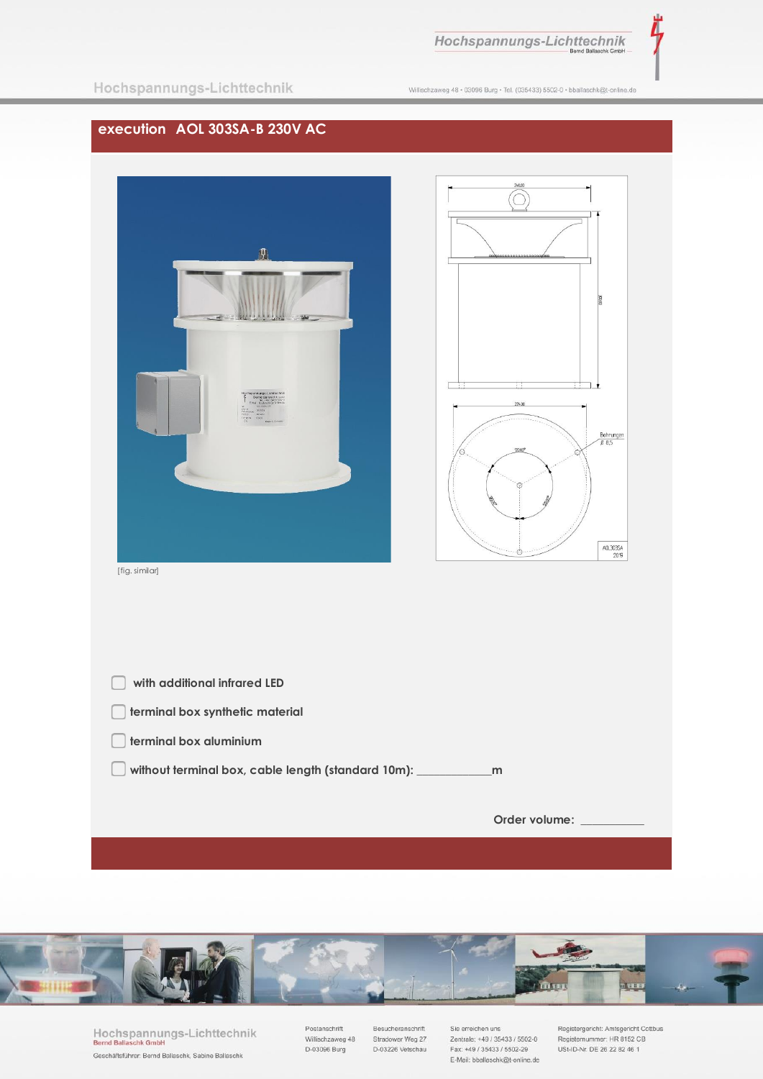

Λ

|  | Hochspannungs-Lichttechnik |  |
|--|----------------------------|--|
|  |                            |  |

Willischzaweg 48 · 03096 Burg · Tel. (035433) 5502-0 · bballaschk@t-online.de

### **execution AOL 303SA-B 230V AC**





[fig. similar]

| with additional infrared LED                       |               |
|----------------------------------------------------|---------------|
| terminal box synthetic material                    |               |
| terminal box aluminium                             |               |
| without terminal box, cable length (standard 10m): | m             |
|                                                    |               |
|                                                    | Order volume: |
|                                                    |               |



Hochspannungs-Lichttechnik<br>Bernd Ballaschk GmbH Geschäftsführer: Bernd Ballaschk, Sabine Ballaschk

Postanschrift Willischzaweg 48<br>D-03096 Burg Besucheranschrift Stradower Weg 27<br>D-03226 Vetschau

Sie erreichen uns Zentrale: +49 / 35433 / 5502-0<br>Fax: +49 / 35433 / 5502-29 E-Mail: bballaschk@t-online.de Registergericht: Amtsgericht Cottbus<br>Registernummer: HR 8152 CB<br>USt-ID-Nr. DE 26 22 82 46 1